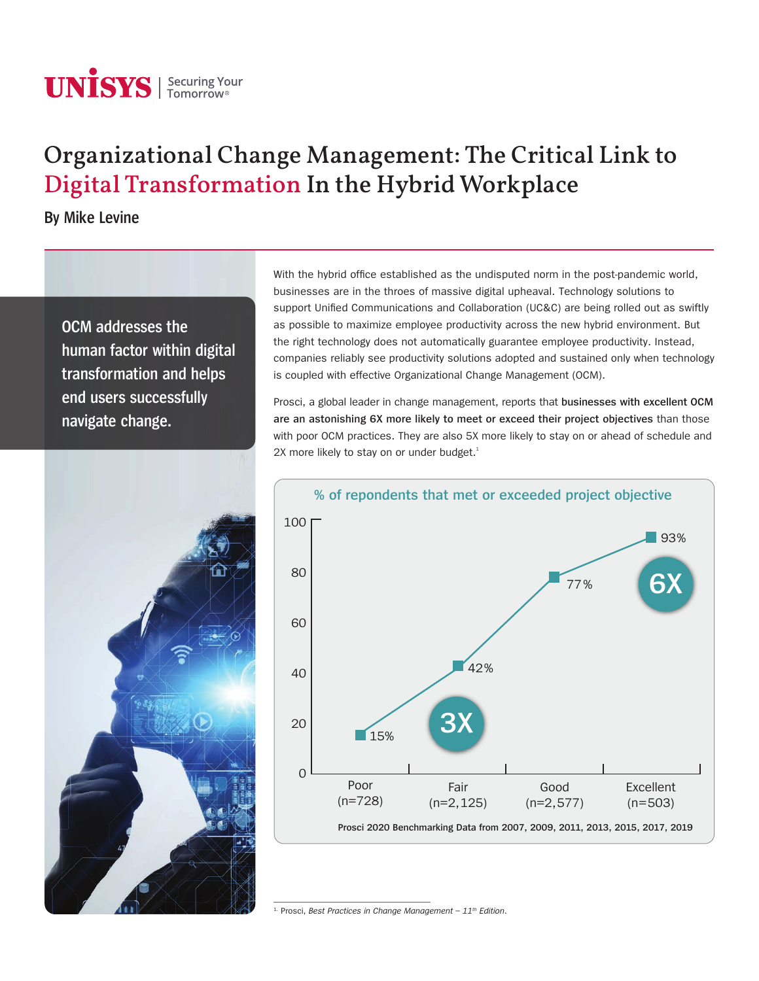# **UNISYS** | Securing Your

# Organizational Change Management: The Critical Link to Digital Transformation In the Hybrid Workplace

**By Mike Levine** 

**OCM addresses the human factor within digital transformation and helps end users successfully navigate change.**



With the hybrid office established as the undisputed norm in the post-pandemic world, businesses are in the throes of massive digital upheaval. Technology solutions to support Unified Communications and Collaboration (UC&C) are being rolled out as swiftly as possible to maximize employee productivity across the new hybrid environment. But the right technology does not automatically guarantee employee productivity. Instead, companies reliably see productivity solutions adopted and sustained only when technology is coupled with effective Organizational Change Management (OCM).

Prosci, a global leader in change management, reports that **businesses with excellent OCM are an astonishing 6X more likely to meet or exceed their project objectives** than those with poor OCM practices. They are also 5X more likely to stay on or ahead of schedule and  $2X$  more likely to stay on or under budget. $^1$ 



<sup>1.</sup> Prosci, Best Practices in Change Management - 11<sup>th</sup> Edition.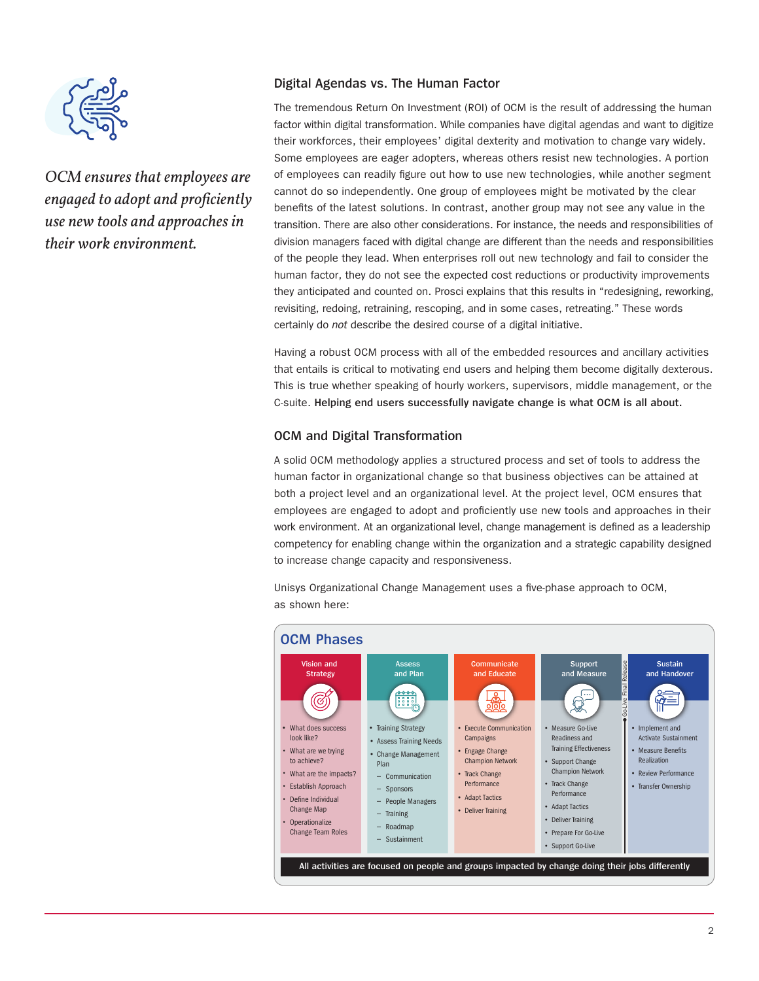

*OCM ensures that employees are engaged to adopt and proficiently use new tools and approaches in their work environment.*

# **Digital Agendas vs. The Human Factor**

The tremendous Return On Investment (ROI) of OCM is the result of addressing the human factor within digital transformation. While companies have digital agendas and want to digitize their workforces, their employees' digital dexterity and motivation to change vary widely. Some employees are eager adopters, whereas others resist new technologies. A portion of employees can readily figure out how to use new technologies, while another segment cannot do so independently. One group of employees might be motivated by the clear benefits of the latest solutions. In contrast, another group may not see any value in the transition. There are also other considerations. For instance, the needs and responsibilities of division managers faced with digital change are different than the needs and responsibilities of the people they lead. When enterprises roll out new technology and fail to consider the human factor, they do not see the expected cost reductions or productivity improvements they anticipated and counted on. Prosci explains that this results in "redesigning, reworking, revisiting, redoing, retraining, rescoping, and in some cases, retreating." These words certainly do *not* describe the desired course of a digital initiative.

Having a robust OCM process with all of the embedded resources and ancillary activities that entails is critical to motivating end users and helping them become digitally dexterous. This is true whether speaking of hourly workers, supervisors, middle management, or the C-suite. **Helping end users successfully navigate change is what OCM is all about.**

# **OCM and Digital Transformation**

A solid OCM methodology applies a structured process and set of tools to address the human factor in organizational change so that business objectives can be attained at both a project level and an organizational level. At the project level, OCM ensures that employees are engaged to adopt and proficiently use new tools and approaches in their work environment. At an organizational level, change management is defined as a leadership competency for enabling change within the organization and a strategic capability designed to increase change capacity and responsiveness.

Unisys Organizational Change Management uses a five-phase approach to OCM, as shown here:

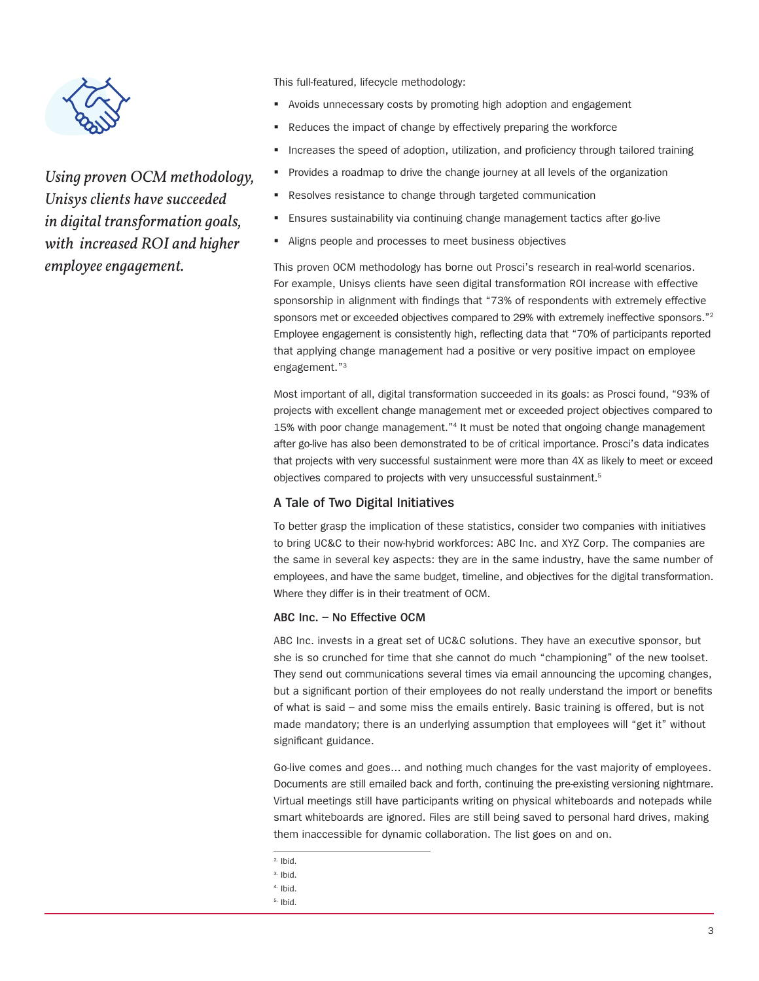

*Using proven OCM methodology, Unisys clients have succeeded in digital transformation goals, with increased ROI and higher employee engagement.* 

This full-featured, lifecycle methodology:

- Avoids unnecessary costs by promoting high adoption and engagement
- Reduces the impact of change by effectively preparing the workforce
- Increases the speed of adoption, utilization, and proficiency through tailored training
- Provides a roadmap to drive the change journey at all levels of the organization
- Resolves resistance to change through targeted communication
- Ensures sustainability via continuing change management tactics after go-live
- Aligns people and processes to meet business objectives

This proven OCM methodology has borne out Prosci's research in real-world scenarios. For example, Unisys clients have seen digital transformation ROI increase with effective sponsorship in alignment with findings that "73% of respondents with extremely effective sponsors met or exceeded objectives compared to 29% with extremely ineffective sponsors."<sup>2</sup> Employee engagement is consistently high, reflecting data that "70% of participants reported that applying change management had a positive or very positive impact on employee engagement."3

Most important of all, digital transformation succeeded in its goals: as Prosci found, "93% of projects with excellent change management met or exceeded project objectives compared to 15% with poor change management."4 It must be noted that ongoing change management after go-live has also been demonstrated to be of critical importance. Prosci's data indicates that projects with very successful sustainment were more than 4X as likely to meet or exceed objectives compared to projects with very unsuccessful sustainment.<sup>5</sup>

#### **A Tale of Two Digital Initiatives**

To better grasp the implication of these statistics, consider two companies with initiatives to bring UC&C to their now-hybrid workforces: ABC Inc. and XYZ Corp. The companies are the same in several key aspects: they are in the same industry, have the same number of employees, and have the same budget, timeline, and objectives for the digital transformation. Where they differ is in their treatment of OCM.

#### **ABC Inc. – No Effective OCM**

ABC Inc. invests in a great set of UC&C solutions. They have an executive sponsor, but she is so crunched for time that she cannot do much "championing" of the new toolset. They send out communications several times via email announcing the upcoming changes, but a significant portion of their employees do not really understand the import or benefits of what is said – and some miss the emails entirely. Basic training is offered, but is not made mandatory; there is an underlying assumption that employees will "get it" without significant guidance.

Go-live comes and goes... and nothing much changes for the vast majority of employees. Documents are still emailed back and forth, continuing the pre-existing versioning nightmare. Virtual meetings still have participants writing on physical whiteboards and notepads while smart whiteboards are ignored. Files are still being saved to personal hard drives, making them inaccessible for dynamic collaboration. The list goes on and on.

- $2.$  Ibid.
- 3. Ibid.
- 4. Ibid.
- 5. Ibid.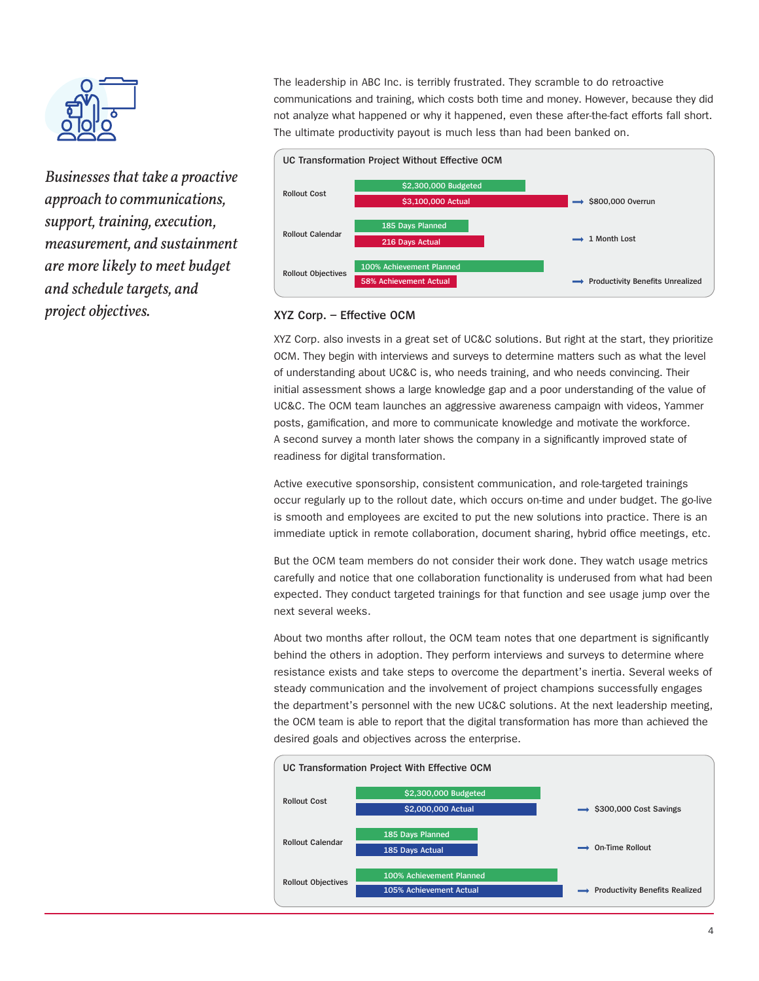

*Businesses that take a proactive approach to communications, support, training, execution, measurement, and sustainment are more likely to meet budget and schedule targets, and project objectives.*

The leadership in ABC Inc. is terribly frustrated. They scramble to do retroactive communications and training, which costs both time and money. However, because they did not analyze what happened or why it happened, even these after-the-fact efforts fall short. The ultimate productivity payout is much less than had been banked on.



## **XYZ Corp. – Effective OCM**

XYZ Corp. also invests in a great set of UC&C solutions. But right at the start, they prioritize OCM. They begin with interviews and surveys to determine matters such as what the level of understanding about UC&C is, who needs training, and who needs convincing. Their initial assessment shows a large knowledge gap and a poor understanding of the value of UC&C. The OCM team launches an aggressive awareness campaign with videos, Yammer posts, gamification, and more to communicate knowledge and motivate the workforce. A second survey a month later shows the company in a significantly improved state of readiness for digital transformation.

Active executive sponsorship, consistent communication, and role-targeted trainings occur regularly up to the rollout date, which occurs on-time and under budget. The go-live is smooth and employees are excited to put the new solutions into practice. There is an immediate uptick in remote collaboration, document sharing, hybrid office meetings, etc.

But the OCM team members do not consider their work done. They watch usage metrics carefully and notice that one collaboration functionality is underused from what had been expected. They conduct targeted trainings for that function and see usage jump over the next several weeks.

About two months after rollout, the OCM team notes that one department is significantly behind the others in adoption. They perform interviews and surveys to determine where resistance exists and take steps to overcome the department's inertia. Several weeks of steady communication and the involvement of project champions successfully engages the department's personnel with the new UC&C solutions. At the next leadership meeting, the OCM team is able to report that the digital transformation has more than achieved the desired goals and objectives across the enterprise.